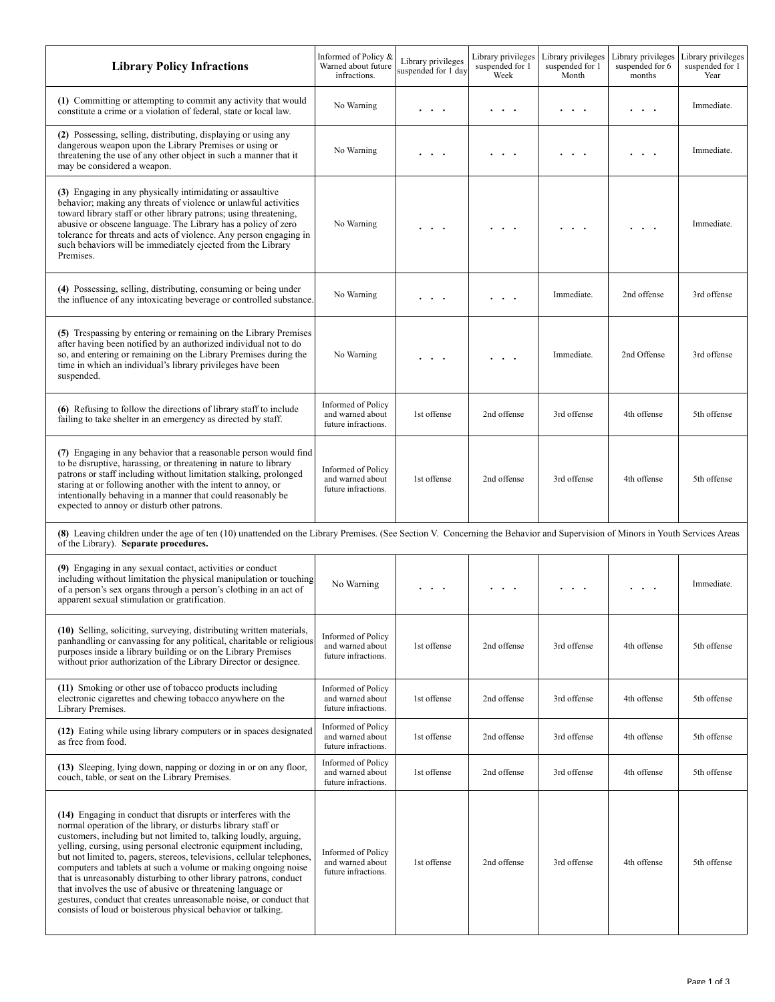| <b>Library Policy Infractions</b>                                                                                                                                                                                                                                                                                                                                                                                                                                                                                                                                                                                                                                                             | Informed of Policy &<br>Warned about future<br>infractions.          | Library privileges<br>suspended for 1 day | Library privileges<br>suspended for 1<br>Week | Library privileges<br>suspended for 1<br>Month | Library privileges<br>suspended for 6<br>months | Library privileges<br>suspended for 1<br>Year |
|-----------------------------------------------------------------------------------------------------------------------------------------------------------------------------------------------------------------------------------------------------------------------------------------------------------------------------------------------------------------------------------------------------------------------------------------------------------------------------------------------------------------------------------------------------------------------------------------------------------------------------------------------------------------------------------------------|----------------------------------------------------------------------|-------------------------------------------|-----------------------------------------------|------------------------------------------------|-------------------------------------------------|-----------------------------------------------|
| (1) Committing or attempting to commit any activity that would<br>constitute a crime or a violation of federal, state or local law.                                                                                                                                                                                                                                                                                                                                                                                                                                                                                                                                                           | No Warning                                                           | .                                         | $\sim$ $\sim$                                 |                                                | $\cdots$                                        | Immediate.                                    |
| (2) Possessing, selling, distributing, displaying or using any<br>dangerous weapon upon the Library Premises or using or<br>threatening the use of any other object in such a manner that it<br>may be considered a weapon.                                                                                                                                                                                                                                                                                                                                                                                                                                                                   | No Warning                                                           | .                                         | . .                                           |                                                | .                                               | Immediate.                                    |
| (3) Engaging in any physically intimidating or assaultive<br>behavior; making any threats of violence or unlawful activities<br>toward library staff or other library patrons; using threatening,<br>abusive or obscene language. The Library has a policy of zero<br>tolerance for threats and acts of violence. Any person engaging in<br>such behaviors will be immediately ejected from the Library<br>Premises.                                                                                                                                                                                                                                                                          | No Warning                                                           |                                           |                                               |                                                |                                                 | Immediate.                                    |
| (4) Possessing, selling, distributing, consuming or being under<br>the influence of any intoxicating beverage or controlled substance.                                                                                                                                                                                                                                                                                                                                                                                                                                                                                                                                                        | No Warning                                                           | $\sim$ $\sim$ $\sim$                      | $\cdot$ .                                     | Immediate.                                     | 2nd offense                                     | 3rd offense                                   |
| (5) Trespassing by entering or remaining on the Library Premises<br>after having been notified by an authorized individual not to do<br>so, and entering or remaining on the Library Premises during the<br>time in which an individual's library privileges have been<br>suspended.                                                                                                                                                                                                                                                                                                                                                                                                          | No Warning                                                           |                                           |                                               | Immediate.                                     | 2nd Offense                                     | 3rd offense                                   |
| (6) Refusing to follow the directions of library staff to include<br>failing to take shelter in an emergency as directed by staff.                                                                                                                                                                                                                                                                                                                                                                                                                                                                                                                                                            | Informed of Policy<br>and warned about<br>future infractions.        | 1st offense                               | 2nd offense                                   | 3rd offense                                    | 4th offense                                     | 5th offense                                   |
| (7) Engaging in any behavior that a reasonable person would find<br>to be disruptive, harassing, or threatening in nature to library<br>patrons or staff including without limitation stalking, prolonged<br>staring at or following another with the intent to annoy, or<br>intentionally behaving in a manner that could reasonably be<br>expected to annoy or disturb other patrons.                                                                                                                                                                                                                                                                                                       | Informed of Policy<br>and warned about<br>future infractions.        | 1st offense                               | 2nd offense                                   | 3rd offense                                    | 4th offense                                     | 5th offense                                   |
| (8) Leaving children under the age of ten (10) unattended on the Library Premises. (See Section V. Concerning the Behavior and Supervision of Minors in Youth Services Areas<br>of the Library). Separate procedures.                                                                                                                                                                                                                                                                                                                                                                                                                                                                         |                                                                      |                                           |                                               |                                                |                                                 |                                               |
| (9) Engaging in any sexual contact, activities or conduct<br>including without limitation the physical manipulation or touching<br>of a person's sex organs through a person's clothing in an act of<br>apparent sexual stimulation or gratification.                                                                                                                                                                                                                                                                                                                                                                                                                                         | No Warning                                                           |                                           |                                               |                                                |                                                 | Immediate.                                    |
| (10) Selling, soliciting, surveying, distributing written materials,<br>panhandling or canvassing for any political, charitable or religious<br>purposes inside a library building or on the Library Premises<br>without prior authorization of the Library Director or designee.                                                                                                                                                                                                                                                                                                                                                                                                             | <b>Informed of Policy</b><br>and warned about<br>future infractions. | 1st offense                               | 2nd offense                                   | 3rd offense                                    | 4th offense                                     | 5th offense                                   |
| (11) Smoking or other use of tobacco products including<br>electronic cigarettes and chewing tobacco anywhere on the<br>Library Premises.                                                                                                                                                                                                                                                                                                                                                                                                                                                                                                                                                     | <b>Informed of Policy</b><br>and warned about<br>future infractions. | 1st offense                               | 2nd offense                                   | 3rd offense                                    | 4th offense                                     | 5th offense                                   |
| (12) Eating while using library computers or in spaces designated<br>as free from food.                                                                                                                                                                                                                                                                                                                                                                                                                                                                                                                                                                                                       | Informed of Policy<br>and warned about<br>future infractions.        | 1st offense                               | 2nd offense                                   | 3rd offense                                    | 4th offense                                     | 5th offense                                   |
| (13) Sleeping, lying down, napping or dozing in or on any floor,<br>couch, table, or seat on the Library Premises.                                                                                                                                                                                                                                                                                                                                                                                                                                                                                                                                                                            | Informed of Policy<br>and warned about<br>future infractions.        | 1st offense                               | 2nd offense                                   | 3rd offense                                    | 4th offense                                     | 5th offense                                   |
| (14) Engaging in conduct that disrupts or interferes with the<br>normal operation of the library, or disturbs library staff or<br>customers, including but not limited to, talking loudly, arguing,<br>yelling, cursing, using personal electronic equipment including,<br>but not limited to, pagers, stereos, televisions, cellular telephones,<br>computers and tablets at such a volume or making ongoing noise<br>that is unreasonably disturbing to other library patrons, conduct<br>that involves the use of abusive or threatening language or<br>gestures, conduct that creates unreasonable noise, or conduct that<br>consists of loud or boisterous physical behavior or talking. | Informed of Policy<br>and warned about<br>future infractions.        | 1st offense                               | 2nd offense                                   | 3rd offense                                    | 4th offense                                     | 5th offense                                   |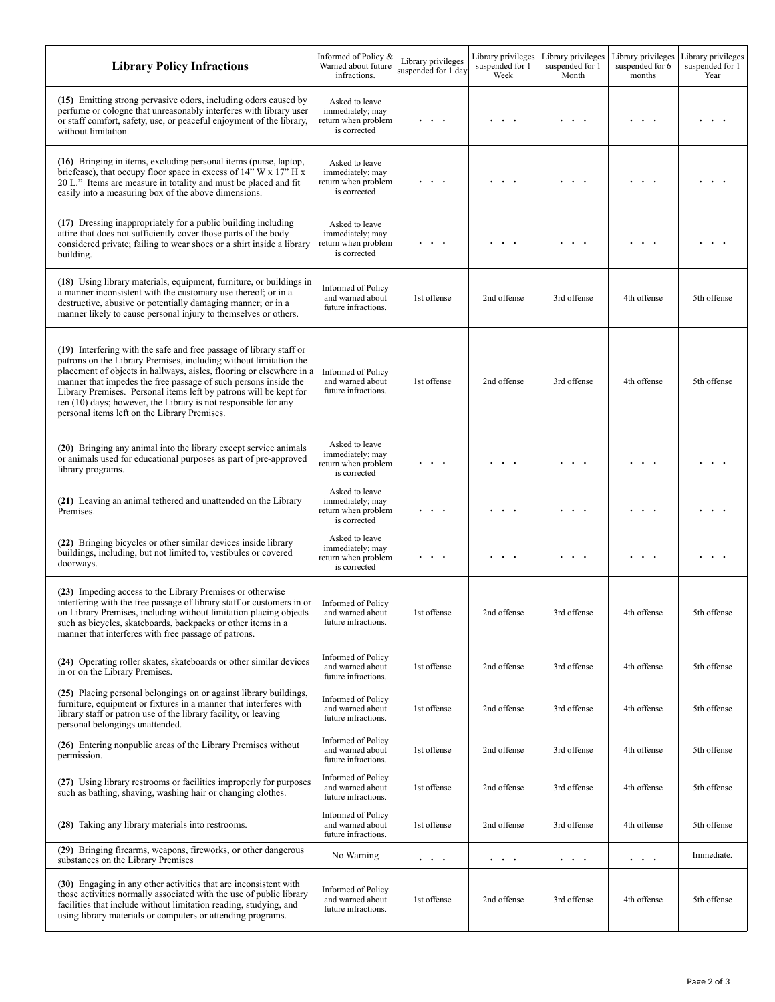| <b>Library Policy Infractions</b>                                                                                                                                                                                                                                                                                                                                                                                                                                          | Informed of Policy &<br>Warned about future<br>infractions.               | Library privileges<br>suspended for 1 day | Library privileges<br>suspended for 1<br>Week | Library privileges<br>suspended for 1<br>Month | Library privileges<br>suspended for 6<br>months | Library privileges<br>suspended for 1<br>Year |
|----------------------------------------------------------------------------------------------------------------------------------------------------------------------------------------------------------------------------------------------------------------------------------------------------------------------------------------------------------------------------------------------------------------------------------------------------------------------------|---------------------------------------------------------------------------|-------------------------------------------|-----------------------------------------------|------------------------------------------------|-------------------------------------------------|-----------------------------------------------|
| (15) Emitting strong pervasive odors, including odors caused by<br>perfume or cologne that unreasonably interferes with library user<br>or staff comfort, safety, use, or peaceful enjoyment of the library,<br>without limitation.                                                                                                                                                                                                                                        | Asked to leave<br>immediately; may<br>return when problem<br>is corrected |                                           |                                               |                                                |                                                 |                                               |
| (16) Bringing in items, excluding personal items (purse, laptop,<br>briefcase), that occupy floor space in excess of 14" W x 17" H x<br>20 L." Items are measure in totality and must be placed and fit<br>easily into a measuring box of the above dimensions.                                                                                                                                                                                                            | Asked to leave<br>immediately; may<br>return when problem<br>is corrected |                                           |                                               |                                                |                                                 |                                               |
| (17) Dressing inappropriately for a public building including<br>attire that does not sufficiently cover those parts of the body<br>considered private; failing to wear shoes or a shirt inside a library<br>building.                                                                                                                                                                                                                                                     | Asked to leave<br>immediately; may<br>return when problem<br>is corrected |                                           |                                               |                                                |                                                 |                                               |
| (18) Using library materials, equipment, furniture, or buildings in<br>a manner inconsistent with the customary use thereof, or in a<br>destructive, abusive or potentially damaging manner; or in a<br>manner likely to cause personal injury to themselves or others.                                                                                                                                                                                                    | Informed of Policy<br>and warned about<br>future infractions.             | 1st offense                               | 2nd offense                                   | 3rd offense                                    | 4th offense                                     | 5th offense                                   |
| (19) Interfering with the safe and free passage of library staff or<br>patrons on the Library Premises, including without limitation the<br>placement of objects in hallways, aisles, flooring or elsewhere in a<br>manner that impedes the free passage of such persons inside the<br>Library Premises. Personal items left by patrons will be kept for<br>ten (10) days; however, the Library is not responsible for any<br>personal items left on the Library Premises. | Informed of Policy<br>and warned about<br>future infractions.             | 1st offense                               | 2nd offense                                   | 3rd offense                                    | 4th offense                                     | 5th offense                                   |
| (20) Bringing any animal into the library except service animals<br>or animals used for educational purposes as part of pre-approved<br>library programs.                                                                                                                                                                                                                                                                                                                  | Asked to leave<br>immediately; may<br>return when problem<br>is corrected |                                           |                                               |                                                |                                                 |                                               |
| (21) Leaving an animal tethered and unattended on the Library<br>Premises.                                                                                                                                                                                                                                                                                                                                                                                                 | Asked to leave<br>immediately; may<br>return when problem<br>is corrected |                                           |                                               |                                                |                                                 |                                               |
| (22) Bringing bicycles or other similar devices inside library<br>buildings, including, but not limited to, vestibules or covered<br>doorways.                                                                                                                                                                                                                                                                                                                             | Asked to leave<br>immediately; may<br>return when problem<br>is corrected |                                           |                                               |                                                |                                                 |                                               |
| (23) Impeding access to the Library Premises or otherwise<br>interfering with the free passage of library staff or customers in or<br>on Library Premises, including without limitation placing objects<br>such as bicycles, skateboards, backpacks or other items in a<br>manner that interferes with free passage of patrons.                                                                                                                                            | Informed of Policy<br>and warned about<br>future infractions.             | 1st offense                               | 2nd offense                                   | 3rd offense                                    | 4th offense                                     | 5th offense                                   |
| (24) Operating roller skates, skateboards or other similar devices<br>in or on the Library Premises.                                                                                                                                                                                                                                                                                                                                                                       | Informed of Policy<br>and warned about<br>future infractions.             | 1st offense                               | 2nd offense                                   | 3rd offense                                    | 4th offense                                     | 5th offense                                   |
| (25) Placing personal belongings on or against library buildings,<br>furniture, equipment or fixtures in a manner that interferes with<br>library staff or patron use of the library facility, or leaving<br>personal belongings unattended.                                                                                                                                                                                                                               | Informed of Policy<br>and warned about<br>future infractions.             | 1st offense                               | 2nd offense                                   | 3rd offense                                    | 4th offense                                     | 5th offense                                   |
| (26) Entering nonpublic areas of the Library Premises without<br>permission.                                                                                                                                                                                                                                                                                                                                                                                               | Informed of Policy<br>and warned about<br>future infractions.             | 1st offense                               | 2nd offense                                   | 3rd offense                                    | 4th offense                                     | 5th offense                                   |
| (27) Using library restrooms or facilities improperly for purposes<br>such as bathing, shaving, washing hair or changing clothes.                                                                                                                                                                                                                                                                                                                                          | Informed of Policy<br>and warned about<br>future infractions.             | 1st offense                               | 2nd offense                                   | 3rd offense                                    | 4th offense                                     | 5th offense                                   |
| (28) Taking any library materials into restrooms.                                                                                                                                                                                                                                                                                                                                                                                                                          | Informed of Policy<br>and warned about<br>future infractions.             | 1st offense                               | 2nd offense                                   | 3rd offense                                    | 4th offense                                     | 5th offense                                   |
| (29) Bringing firearms, weapons, fireworks, or other dangerous<br>substances on the Library Premises                                                                                                                                                                                                                                                                                                                                                                       | No Warning                                                                | $\bullet$ . $\bullet$ . $\bullet$         | $\sim$ $\sim$ $\sim$                          | $\sim$ 100 $\sim$                              | $\bullet$ . $\bullet$ . $\bullet$               | Immediate.                                    |
| (30) Engaging in any other activities that are inconsistent with<br>those activities normally associated with the use of public library<br>facilities that include without limitation reading, studying, and<br>using library materials or computers or attending programs.                                                                                                                                                                                                | Informed of Policy<br>and warned about<br>future infractions.             | 1st offense                               | 2nd offense                                   | 3rd offense                                    | 4th offense                                     | 5th offense                                   |